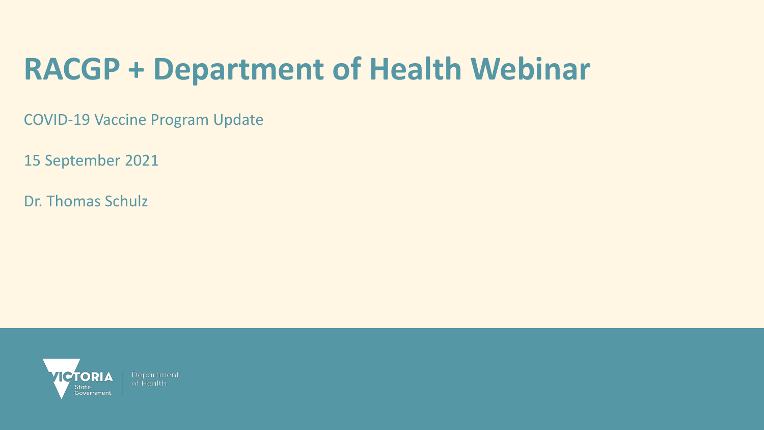## **RACGP + Department of Health Webinar**

COVID-19 Vaccine Program Update

15 September 2021

Dr. Thomas Schulz

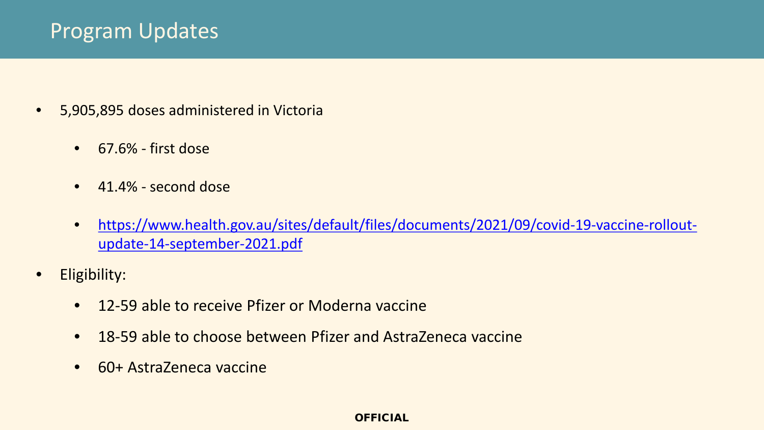## Program Updates

- 5,905,895 doses administered in Victoria
	- 67.6% first dose
	- 41.4% second dose
	- [https://www.health.gov.au/sites/default/files/documents/2021/09/covid-19-vaccine-rollout](https://www.health.gov.au/sites/default/files/documents/2021/09/covid-19-vaccine-rollout-update-14-september-2021.pdf)update-14-september-2021.pdf
- Eligibility:
	- 12-59 able to receive Pfizer or Moderna vaccine
	- 18-59 able to choose between Pfizer and AstraZeneca vaccine
	- 60+ AstraZeneca vaccine

#### OFFICIAL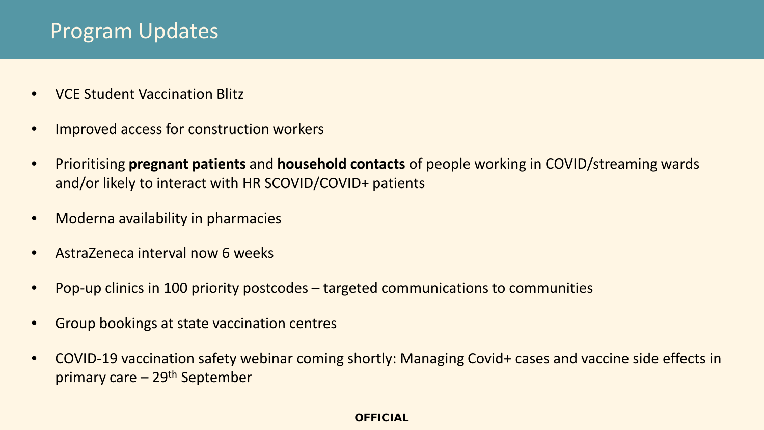## Program Updates

- VCE Student Vaccination Blitz
- Improved access for construction workers
- Prioritising **pregnant patients** and **household contacts** of people working in COVID/streaming wards and/or likely to interact with HR SCOVID/COVID+ patients
- Moderna availability in pharmacies
- AstraZeneca interval now 6 weeks
- Pop-up clinics in 100 priority postcodes targeted communications to communities
- Group bookings at state vaccination centres
- COVID-19 vaccination safety webinar coming shortly: Managing Covid+ cases and vaccine side effects in primary care  $-29<sup>th</sup>$  September

#### **OFFICIAL**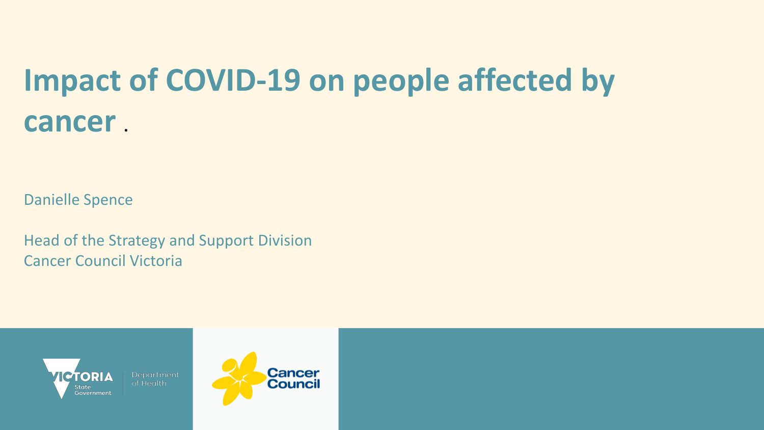## **Impact of COVID-19 on people affected by cancer .**

Danielle Spence

Head of the Strategy and Support Division Cancer Council Victoria



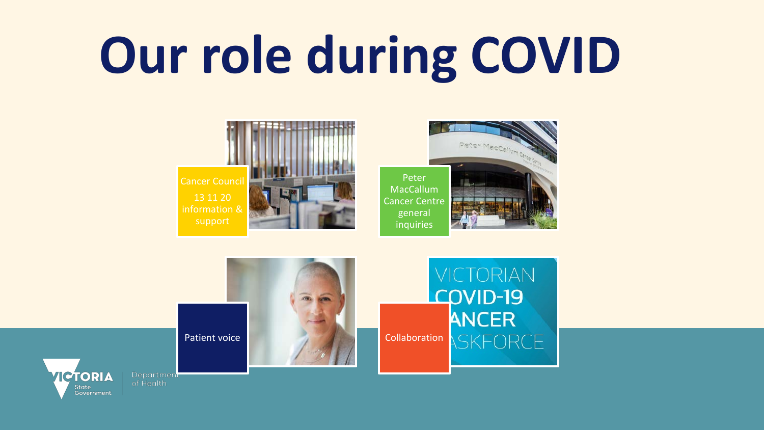# **Our role during COVID**









**JICTORIAN** 

COVID-19

**ANCER** 

SKFORCF





Department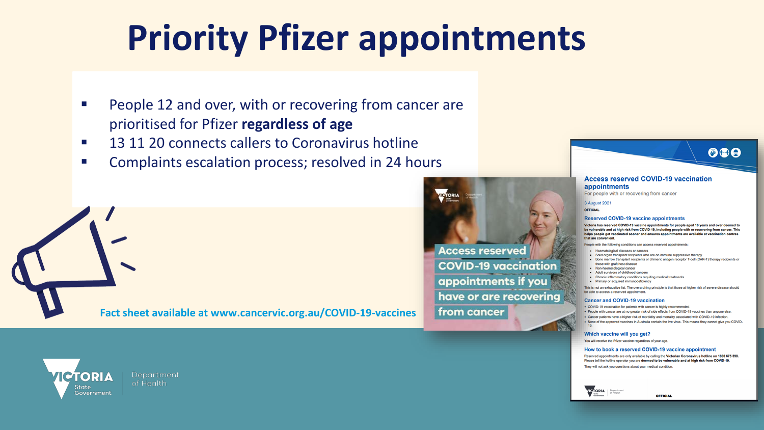# **Priority Pfizer appointments**

- **People 12 and over, with or recovering from cancer are** prioritised for Pfizer **regardless of age**
- 13 11 20 connects callers to Coronavirus hotline
- **Complaints escalation process; resolved in 24 hours**

**Fact sheet available at www.cancervic.org.au/COVID-19-vaccines** 





#### **Access reserved COVID-19 vaccination** appointments

For people with or recovering from cancer

3 August 2021

OFFICIAL

#### **Reserved COVID-19 vaccine appointments**

Victoria has reserved COVID-19 vaccine appointments for people aged 16 years and over deemed to be vulnerable and at high risk from COVID-19, including people with or recovering from cancer. This helps people get vaccinated sooner and ensures appointments are available at vaccination centres that are convenient.

People with the following conditions can access reserved appointments

- · Haematological diseases or cancers
- . Solid organ transplant recipients who are on immune suppressive therapy . Bone marrow transplant recipients or chimeric antigen receptor T-cell (CAR-T) therapy recipients or those with graft host disease
- · Non-haematological cancer
- Adult survivors of childhood cancers
- . Chronic inflammatory conditions requiting medical treatments
- · Primary or acquired immunodeficiency

This is not an exhaustive list. The overarching principle is that those at higher risk of severe disease should be able to access a reserved appointment

#### **Cancer and COVID-19 vaccination**

- . COVID-19 vaccination for patients with cancer is highly recommended
- . People with cancer are at no greater risk of side effects from COVID-19 vaccines than anyone else.
- . Cancer patients have a higher risk of morbidity and mortality associated with COVID-19 infection.
- . None of the approved vaccines in Australia contain the live virus. This means they cannot give you COVID-

#### Which vaccine will you get?

You will receive the Pfizer vaccine regardless of your age.

#### How to book a reserved COVID-19 vaccine appointment

Reserved appointments are only available by calling the Victorian Coronavirus hotline on 1800 675 398. Please tell the hotline operator you are deemed to be vulnerable and at high risk from COVID-19. They will not ask you questions about your medical condition.





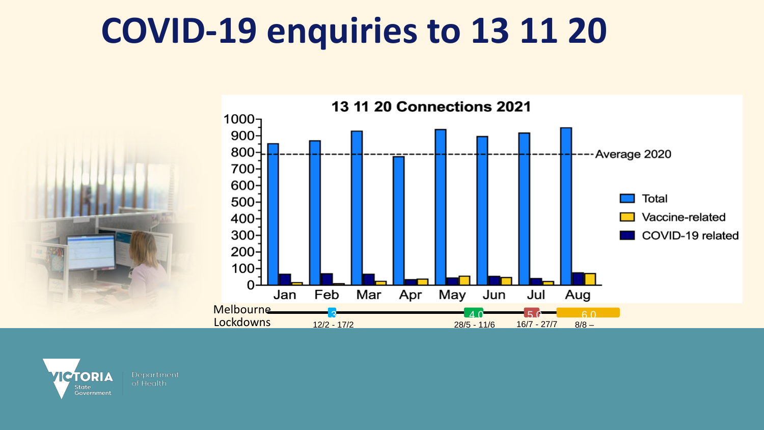# **COVID-19 enquiries to 13 11 20**



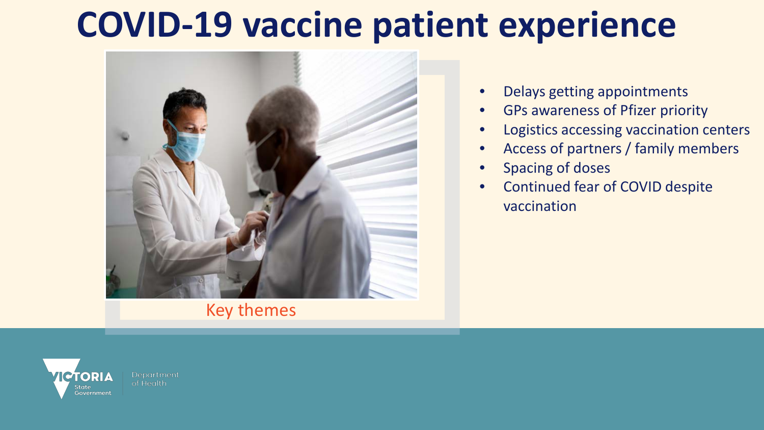# **COVID-19 vaccine patient experience**



Key themes

- Delays getting appointments
- GPs awareness of Pfizer priority
- Logistics accessing vaccination centers
- Access of partners / family members
- Spacing of doses
- Continued fear of COVID despite vaccination

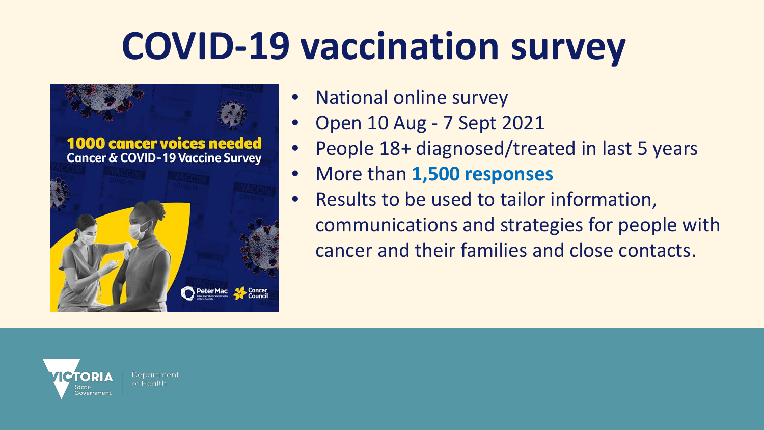# **COVID-19 vaccination survey**



- National online survey
- Open 10 Aug 7 Sept 2021
- People 18+ diagnosed/treated in last 5 years
- More than **1,500 responses**
- Results to be used to tailor information, communications and strategies for people with cancer and their families and close contacts.

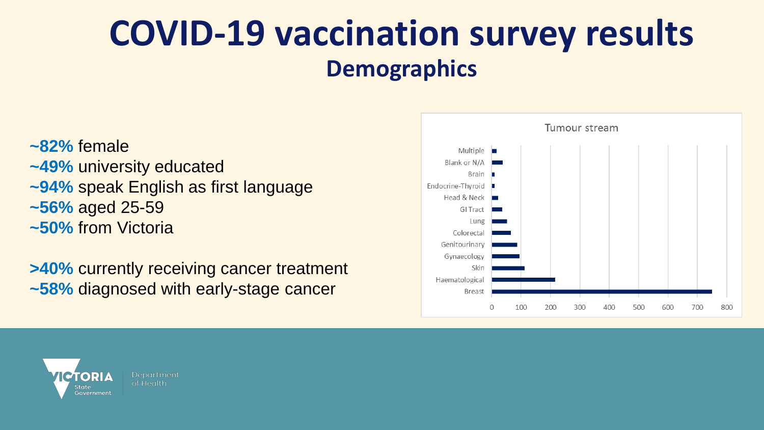## **COVID-19 vaccination survey results Demographics**

**~82%** female **~49%** university educated **~94%** speak English as first language **~56%** aged 25-59 **~50%** from Victoria

**>40%** currently receiving cancer treatment **~58%** diagnosed with early-stage cancer



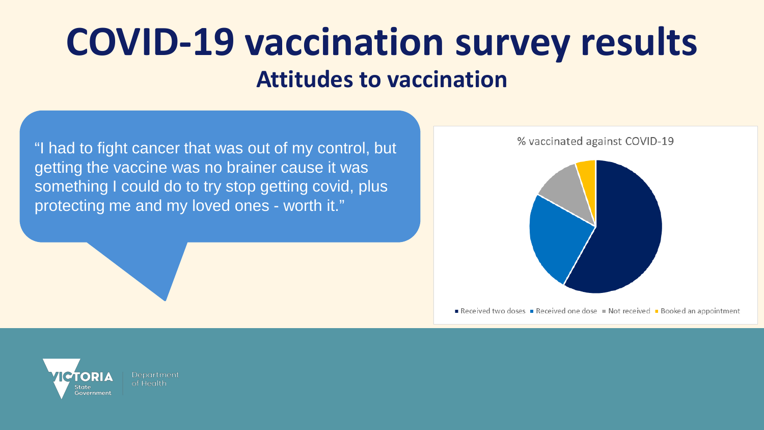## **COVID-19 vaccination survey results Attitudes to vaccination**

"I had to fight cancer that was out of my control, but getting the vaccine was no brainer cause it was something I could do to try stop getting covid, plus protecting me and my loved ones - worth it."



Received two doses Received one dose Not received Booked an appointment

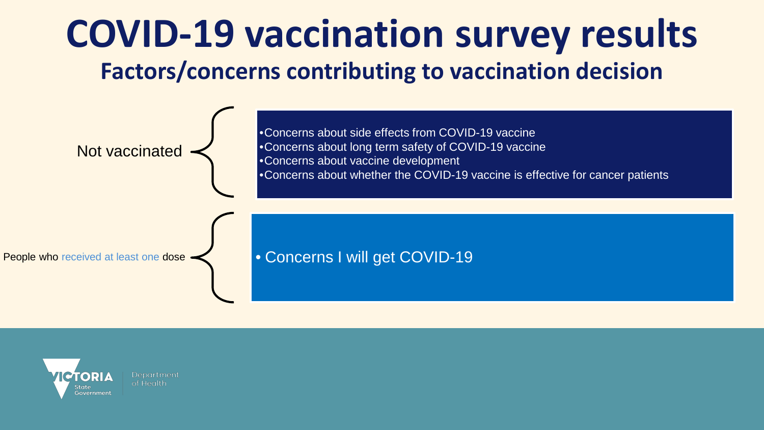

![](_page_11_Picture_1.jpeg)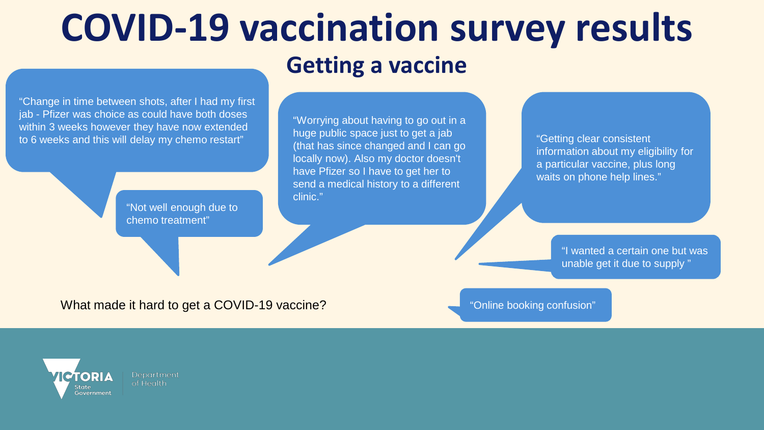# **COVID-19 vaccination survey results**

## **Getting a vaccine**

"Change in time between shots, after I had my first jab - Pfizer was choice as could have both doses within 3 weeks however they have now extended to 6 weeks and this will delay my chemo restart"

> "Not well enough due to chemo treatment"

"Worrying about having to go out in a huge public space just to get a jab (that has since changed and I can go locally now). Also my doctor doesn't have Pfizer so I have to get her to send a medical history to a different clinic."

"Getting clear consistent information about my eligibility for a particular vaccine, plus long waits on phone help lines."

"I wanted a certain one but was unable get it due to supply "

What made it hard to get a COVID-19 vaccine?

"Online booking confusion"

![](_page_12_Picture_10.jpeg)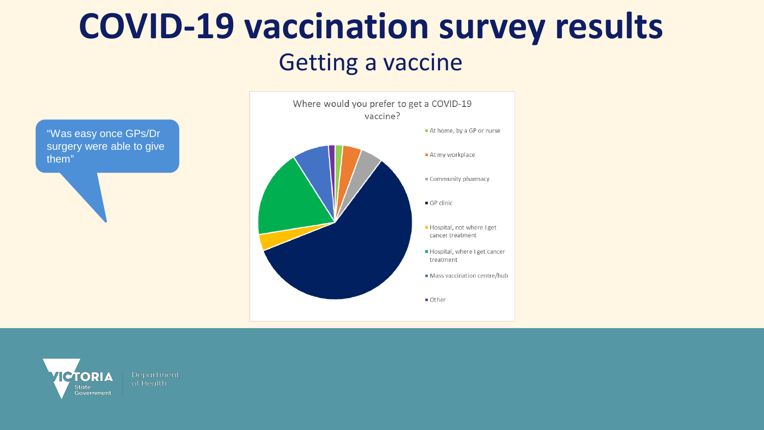# **COVID-19 vaccination survey results**

## Getting a vaccine

![](_page_13_Figure_2.jpeg)

![](_page_13_Figure_3.jpeg)

![](_page_13_Picture_4.jpeg)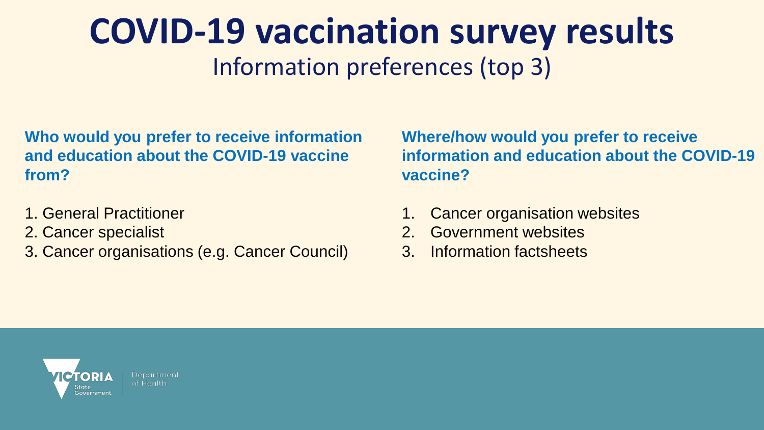## **COVID-19 vaccination survey results** Information preferences (top 3)

**Who would you prefer to receive information and education about the COVID-19 vaccine from?** 

- 1. General Practitioner
- 2. Cancer specialist
- 3. Cancer organisations (e.g. Cancer Council)

**Where/how would you prefer to receive information and education about the COVID-19 vaccine?** 

- 1. Cancer organisation websites
- 2. Government websites
- 3. Information factsheets

![](_page_14_Picture_9.jpeg)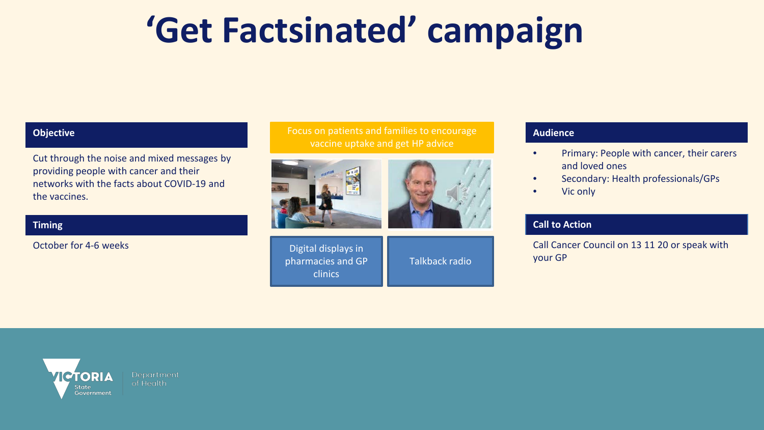# **'Get Factsinated' campaign**

#### **Objective**

Cut through the noise and mixed messages by providing people with cancer and their networks with the facts about COVID-19 and the vaccines.

#### **Timing**

October for 4-6 weeks

Focus on patients and families to encourage vaccine uptake and get HP advice

![](_page_15_Picture_6.jpeg)

![](_page_15_Picture_7.jpeg)

Digital displays in pharmacies and GP clinics

Talkback radio

#### **Audience**

- Primary: People with cancer, their carers and loved ones
- Secondary: Health professionals/GPs
- Vic only

#### **Call to Action**

Call Cancer Council on 13 11 20 or speak with your GP

![](_page_15_Picture_16.jpeg)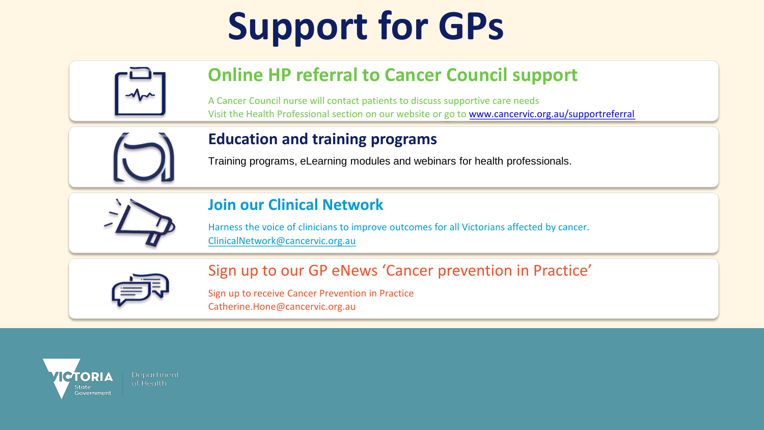# **Support for GPs**

![](_page_16_Picture_1.jpeg)

## **Online HP referral to Cancer Council support**

A Cancer Council nurse will contact patients to discuss supportive care needs Visit the Health Professional section on our website or go to [www.cancervic.org.au/supportreferral](http://www.cancervic.org.au/supportreferral)

![](_page_16_Picture_4.jpeg)

#### **Education and training programs**

Training programs, eLearning modules and webinars for health professionals.

![](_page_16_Picture_7.jpeg)

### **Join our Clinical Network**

Harness the voice of clinicians to improve outcomes for all Victorians affected by cancer. [ClinicalNetwork@cancervic.org.au](mailto:ClinicalNetwork@cancervic.org.au)

![](_page_16_Picture_10.jpeg)

Sign up to our GP eNews 'Cancer prevention in Practice'

Sign up to receive Cancer Prevention in Practice Catherine.Hone@cancervic.org.au

![](_page_16_Picture_13.jpeg)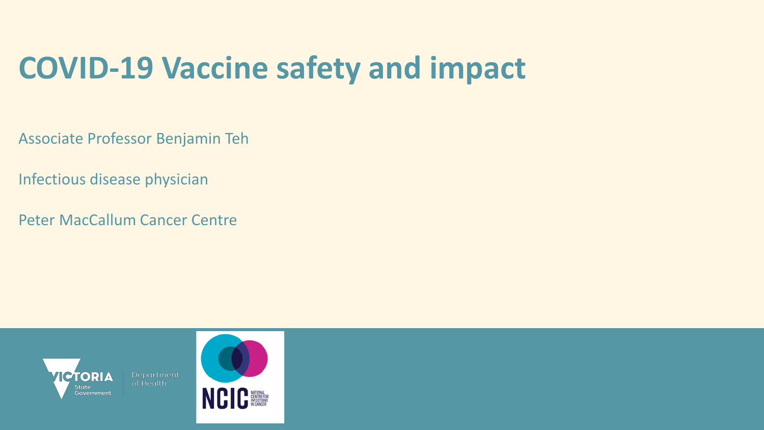## **COVID-19 Vaccine safety and impact**

Associate Professor Benjamin Teh

Infectious disease physician

Peter MacCallum Cancer Centre

![](_page_17_Picture_4.jpeg)

![](_page_17_Picture_5.jpeg)

![](_page_17_Picture_6.jpeg)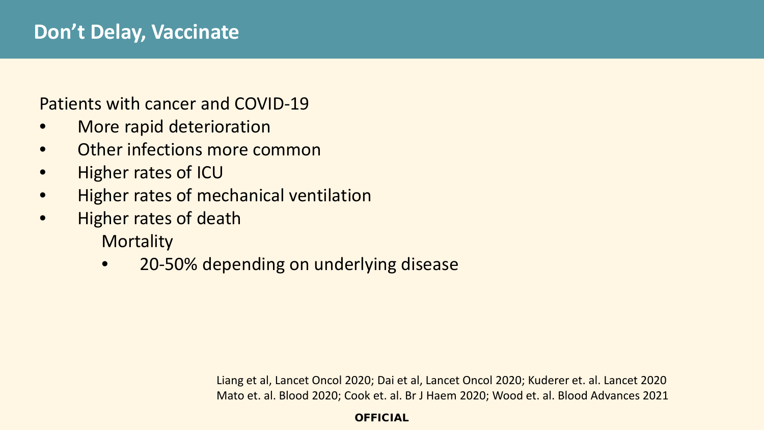### Patients with cancer and COVID-19

- More rapid deterioration
- **Other infections more common**
- Higher rates of ICU
- Higher rates of mechanical ventilation
- Higher rates of death

**Mortality** 

• 20-50% depending on underlying disease

Liang et al, Lancet Oncol 2020; Dai et al, Lancet Oncol 2020; Kuderer et. al. Lancet 2020 Mato et. al. Blood 2020; Cook et. al. Br J Haem 2020; Wood et. al. Blood Advances 2021

**OFFICIAL**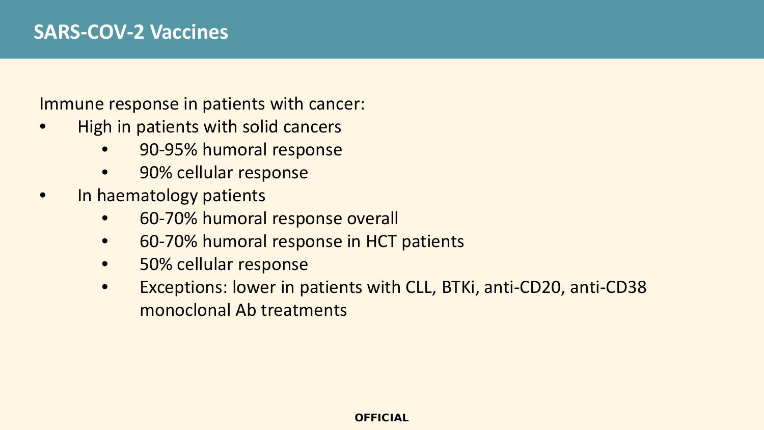Immune response in patients with cancer:

- High in patients with solid cancers
	- 90-95% humoral response
	- 90% cellular response
- In haematology patients
	- 60-70% humoral response overall
	- 60-70% humoral response in HCT patients
	- 50% cellular response
	- Exceptions: lower in patients with CLL, BTKi, anti-CD20, anti-CD38 monoclonal Ab treatments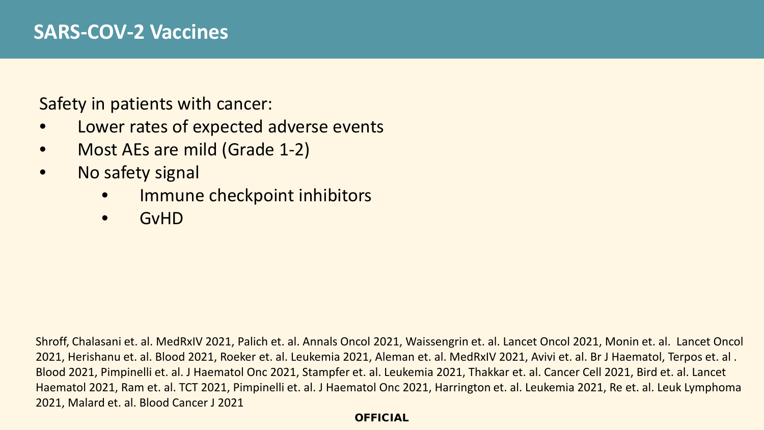Safety in patients with cancer:

- Lower rates of expected adverse events
- Most AEs are mild (Grade 1-2)
- No safety signal
	- Immune checkpoint inhibitors
	- GvHD

Shroff, Chalasani et. al. MedRxIV 2021, Palich et. al. Annals Oncol 2021, Waissengrin et. al. Lancet Oncol 2021, Monin et. al. Lancet Oncol 2021, Herishanu et. al. Blood 2021, Roeker et. al. Leukemia 2021, Aleman et. al. MedRxIV 2021, Avivi et. al. Br J Haematol, Terpos et. al . Blood 2021, Pimpinelli et. al. J Haematol Onc 2021, Stampfer et. al. Leukemia 2021, Thakkar et. al. Cancer Cell 2021, Bird et. al. Lancet Haematol 2021, Ram et. al. TCT 2021, Pimpinelli et. al. J Haematol Onc 2021, Harrington et. al. Leukemia 2021, Re et. al. Leuk Lymphoma 2021, Malard et. al. Blood Cancer J 2021

#### **OFFICIAL**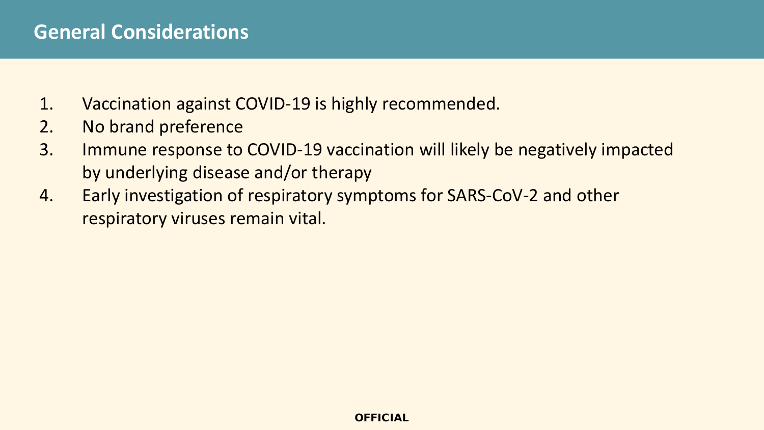### **General Considerations**

- 1. Vaccination against COVID-19 is highly recommended.
- 2. No brand preference
- 3. Immune response to COVID-19 vaccination will likely be negatively impacted by underlying disease and/or therapy
- 4. Early investigation of respiratory symptoms for SARS-CoV-2 and other respiratory viruses remain vital.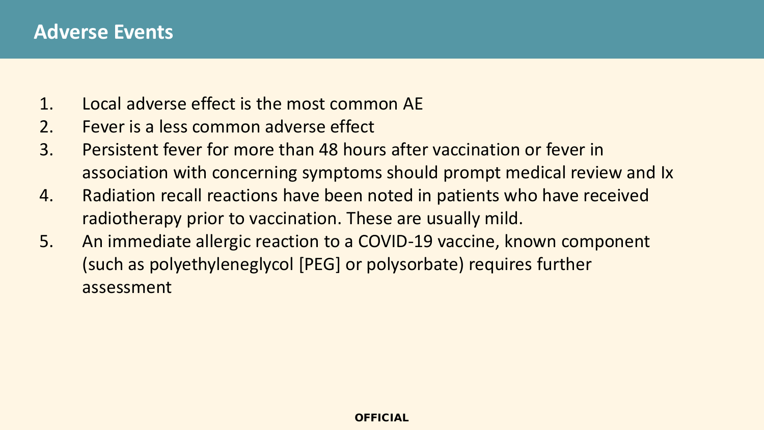- 1. Local adverse effect is the most common AE
- 2. Fever is a less common adverse effect
- 3. Persistent fever for more than 48 hours after vaccination or fever in association with concerning symptoms should prompt medical review and Ix
- 4. Radiation recall reactions have been noted in patients who have received radiotherapy prior to vaccination. These are usually mild.
- 5. An immediate allergic reaction to a COVID-19 vaccine, known component (such as polyethyleneglycol [PEG] or polysorbate) requires further assessment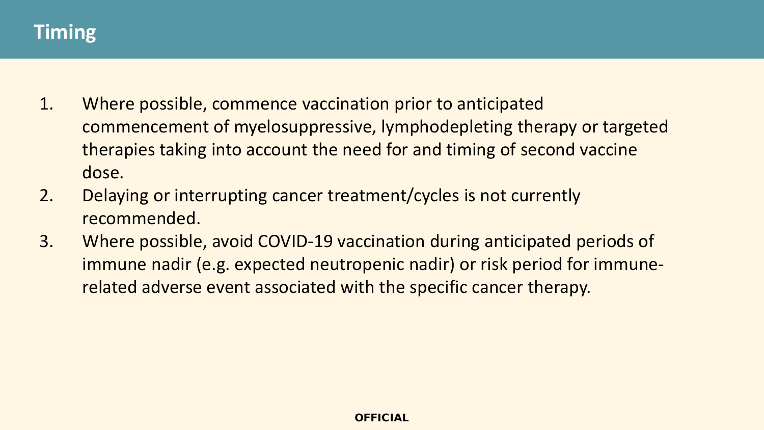## **Timing**

- 1. Where possible, commence vaccination prior to anticipated commencement of myelosuppressive, lymphodepleting therapy or targeted therapies taking into account the need for and timing of second vaccine dose.
- 2. Delaying or interrupting cancer treatment/cycles is not currently recommended.
- 3. Where possible, avoid COVID-19 vaccination during anticipated periods of immune nadir (e.g. expected neutropenic nadir) or risk period for immunerelated adverse event associated with the specific cancer therapy.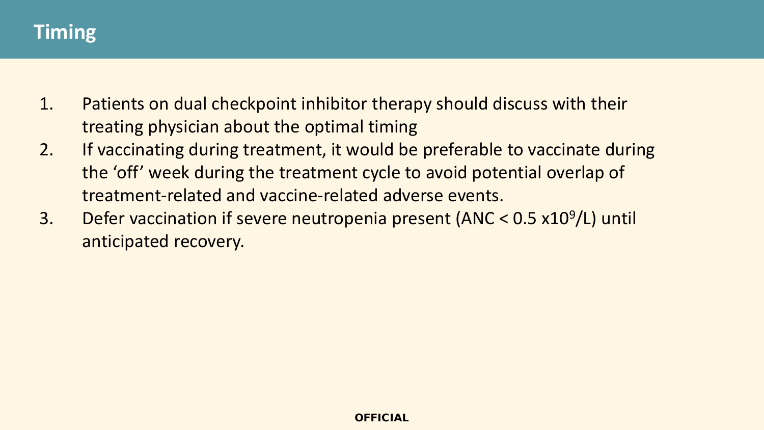## **Timing**

- 1. Patients on dual checkpoint inhibitor therapy should discuss with their treating physician about the optimal timing
- 2. If vaccinating during treatment, it would be preferable to vaccinate during the 'off' week during the treatment cycle to avoid potential overlap of treatment-related and vaccine-related adverse events.
- 3. Defer vaccination if severe neutropenia present (ANC < 0.5 x109/L) until anticipated recovery.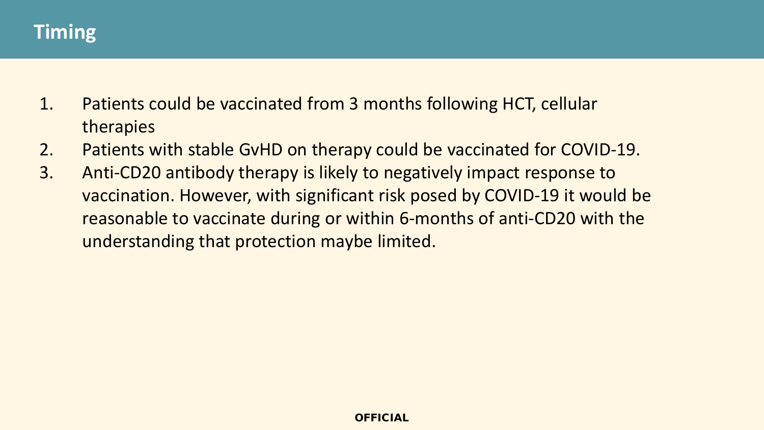### **Timing**

- 1. Patients could be vaccinated from 3 months following HCT, cellular therapies
- 2. Patients with stable GvHD on therapy could be vaccinated for COVID-19.
- 3. Anti-CD20 antibody therapy is likely to negatively impact response to vaccination. However, with significant risk posed by COVID-19 it would be reasonable to vaccinate during or within 6-months of anti-CD20 with the understanding that protection maybe limited.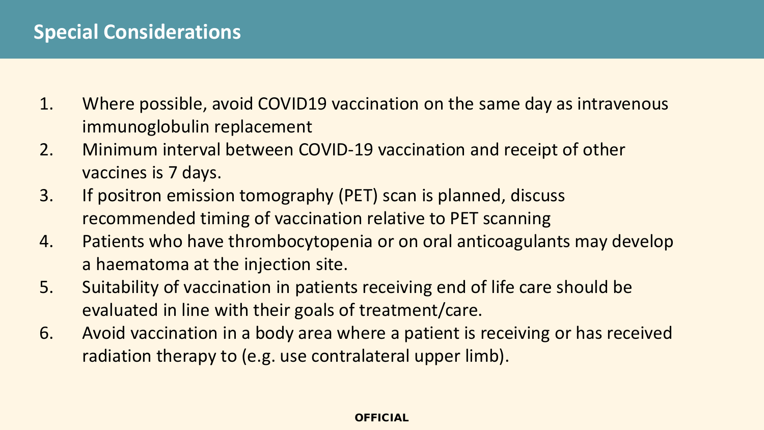- 1. Where possible, avoid COVID19 vaccination on the same day as intravenous immunoglobulin replacement
- 2. Minimum interval between COVID-19 vaccination and receipt of other vaccines is 7 days.
- 3. If positron emission tomography (PET) scan is planned, discuss recommended timing of vaccination relative to PET scanning
- 4. Patients who have thrombocytopenia or on oral anticoagulants may develop a haematoma at the injection site.
- 5. Suitability of vaccination in patients receiving end of life care should be evaluated in line with their goals of treatment/care.
- 6. Avoid vaccination in a body area where a patient is receiving or has received radiation therapy to (e.g. use contralateral upper limb).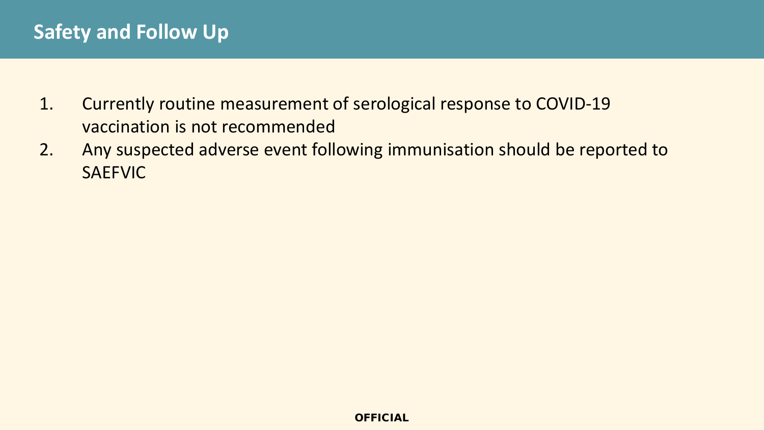## **Safety and Follow Up**

- 1. Currently routine measurement of serological response to COVID-19 vaccination is not recommended
- 2. Any suspected adverse event following immunisation should be reported to SAEFVIC